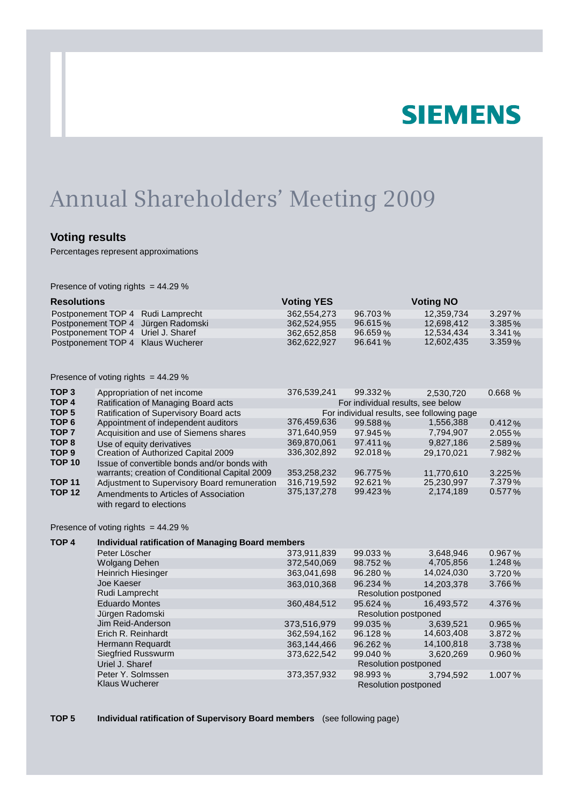# **SIEMENS**

# Annual Shareholders' Meeting 2009

### **Voting results**

Percentages represent approximations

Presence of voting rights = 44.29 %

| <b>Resolutions</b>                 | <b>Voting YES</b> |          | <b>Voting NO</b> |           |
|------------------------------------|-------------------|----------|------------------|-----------|
| Postponement TOP 4 Rudi Lamprecht  | 362.554.273       | 96.703%  | 12.359.734       | $3.297\%$ |
| Postponement TOP 4 Jürgen Radomski | 362.524.955       | 96.615%  | 12.698.412       | $3.385\%$ |
| Postponement TOP 4 Uriel J. Sharef | 362.652.858       | 96.659%  | 12.534.434       | $3.341\%$ |
| Postponement TOP 4 Klaus Wucherer  | 362.622.927       | 96.641 % | 12.602.435       | 3.359%    |

| Presence of voting rights $= 44.29$ % |  |  |  |  |
|---------------------------------------|--|--|--|--|
|---------------------------------------|--|--|--|--|

| TOP <sub>3</sub>                                                                              | Appropriation of net income                                                                    | 376,539,241                                | 99.332% | 2.530.720  | 0.668%    |  |  |
|-----------------------------------------------------------------------------------------------|------------------------------------------------------------------------------------------------|--------------------------------------------|---------|------------|-----------|--|--|
| TOP <sub>4</sub>                                                                              | Ratification of Managing Board acts                                                            | For individual results, see below          |         |            |           |  |  |
| TOP <sub>5</sub>                                                                              | Ratification of Supervisory Board acts                                                         | For individual results, see following page |         |            |           |  |  |
| TOP <sub>6</sub><br>TOP <sub>7</sub><br>TOP <sub>8</sub><br>TOP <sub>9</sub><br><b>TOP 10</b> | Appointment of independent auditors                                                            | 376,459,636                                | 99.588% | 1,556,388  | $0.412\%$ |  |  |
|                                                                                               | Acquisition and use of Siemens shares                                                          | 371,640,959                                | 97.945% | 7,794,907  | $2.055\%$ |  |  |
|                                                                                               | Use of equity derivatives                                                                      | 369,870,061                                | 97.411% | 9.827.186  | 2.589%    |  |  |
|                                                                                               | Creation of Authorized Capital 2009                                                            | 336.302.892                                | 92.018% | 29.170.021 | 7.982%    |  |  |
|                                                                                               | Issue of convertible bonds and/or bonds with<br>warrants; creation of Conditional Capital 2009 | 353,258,232                                | 96.775% | 11,770,610 | 3.225%    |  |  |
| <b>TOP 11</b><br><b>TOP 12</b>                                                                | Adjustment to Supervisory Board remuneration                                                   | 316,719,592                                | 92.621% | 25,230,997 | $7.379\%$ |  |  |
|                                                                                               | Amendments to Articles of Association<br>with regard to elections                              | 375, 137, 278                              | 99.423% | 2,174,189  | $0.577\%$ |  |  |

Presence of voting rights = 44.29 %

| TOP <sub>4</sub> | <b>Individual ratification of Managing Board members</b> |                             |          |            |           |  |
|------------------|----------------------------------------------------------|-----------------------------|----------|------------|-----------|--|
|                  | Peter Löscher                                            | 373,911,839                 | 99.033 % | 3,648,946  | 0.967%    |  |
|                  | <b>Wolgang Dehen</b>                                     | 372,540,069                 | 98.752 % | 4,705,856  | 1.248 $%$ |  |
|                  | <b>Heinrich Hiesinger</b>                                | 363,041,698                 | 96.280 % | 14,024,030 | 3.720%    |  |
|                  | Joe Kaeser                                               | 363,010,368                 | 96.234 % | 14.203.378 | 3.766%    |  |
|                  | Rudi Lamprecht                                           | <b>Resolution postponed</b> |          |            |           |  |
|                  | <b>Eduardo Montes</b>                                    | 360,484,512                 | 95.624%  | 16,493,572 | 4.376 $%$ |  |
|                  | Jürgen Radomski                                          | <b>Resolution postponed</b> |          |            |           |  |
|                  | Jim Reid-Anderson                                        | 373,516,979                 | 99.035 % | 3,639,521  | 0.965%    |  |
|                  | Erich R. Reinhardt                                       | 362,594,162                 | 96.128%  | 14,603,408 | 3.872%    |  |
|                  | Hermann Requardt                                         | 363,144,466                 | 96.262 % | 14,100,818 | $3.738\%$ |  |
|                  | <b>Siegfried Russwurm</b>                                | 373,622,542                 | 99.040 % | 3.620.269  | 0.960%    |  |
|                  | Uriel J. Sharef                                          | <b>Resolution postponed</b> |          |            |           |  |
|                  | Peter Y. Solmssen                                        | 373,357,932                 | 98.993 % | 3,794,592  | 1.007%    |  |
|                  | <b>Klaus Wucherer</b>                                    | <b>Resolution postponed</b> |          |            |           |  |

**TOP 5 Individual ratification of Supervisory Board members** (see following page)